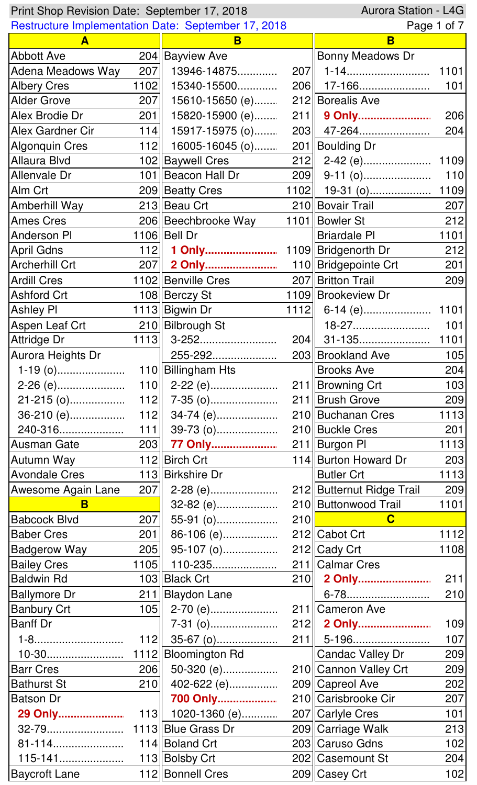| Aurora Station - L4G<br>Print Shop Revision Date: September 17, 2018 |      |                                                            |     |                           |             |
|----------------------------------------------------------------------|------|------------------------------------------------------------|-----|---------------------------|-------------|
|                                                                      |      | <b>Restructure Implementation Date: September 17, 2018</b> |     |                           | Page 1 of 7 |
| A                                                                    |      | B                                                          |     | B                         |             |
| <b>Abbott Ave</b>                                                    |      | 204 Bayview Ave                                            |     | Bonny Meadows Dr          |             |
| <b>Adena Meadows Way</b>                                             | 207  | 13946-14875                                                |     | 207   1-14                | 1101        |
| <b>Albery Cres</b>                                                   | 1102 | 15340-15500                                                |     | 206 17-166                | 101         |
| <b>Alder Grove</b>                                                   | 207  | 15610-15650 (e)                                            |     | 212 Borealis Ave          |             |
| Alex Brodie Dr                                                       | 201  | 15820-15900 (e)                                            |     | 211  9 Only               | 206         |
| Alex Gardner Cir                                                     | 114  | 15917-15975 (o)                                            |     | 203   47-264              | 204         |
| <b>Algonquin Cres</b>                                                | 112  | 16005-16045 (o)                                            |     | 201 Boulding Dr           |             |
| <b>Allaura Blvd</b>                                                  |      | 102 Baywell Cres                                           |     | $212$    2-42 (e)         | 1109        |
| Allenvale Dr                                                         |      | 101 Beacon Hall Dr                                         |     |                           | 110         |
| Alm Crt                                                              |      | 209 Beatty Cres                                            |     | $1102$    19-31 (0)       | 1109        |
| Amberhill Way                                                        |      | 213 Beau Crt                                               |     | 210 Bovair Trail          | 207         |
| <b>Ames Cres</b>                                                     |      | 206 Beechbrooke Way                                        |     | 1101 Bowler St            | 212         |
| <b>Anderson PI</b>                                                   |      | 1106 Bell Dr                                               |     | <b>Briardale PI</b>       | 1101        |
| <b>April Gdns</b>                                                    | 112  | 1 Only                                                     |     | 1109 Bridgenorth Dr       | 212         |
| <b>Archerhill Crt</b>                                                |      | 207   2 Only                                               |     | 110 Bridgepointe Crt      | 201         |
| <b>Ardill Cres</b>                                                   |      | 1102 Benville Cres                                         |     | 207   Britton Trail       | 209         |
| <b>Ashford Crt</b>                                                   |      | 108 Berczy St                                              |     | 1109 Brookeview Dr        |             |
| <b>Ashley PI</b>                                                     |      | 1113 Bigwin Dr                                             |     |                           | 1101        |
| Aspen Leaf Crt                                                       |      | 210 Bilbrough St                                           |     | 18-27                     | 101         |
| <b>Attridge Dr</b>                                                   | 1113 | $3 - 252.$                                                 |     |                           | 1101        |
| Aurora Heights Dr                                                    |      | 255-292                                                    |     | 203 Brookland Ave         | 105         |
|                                                                      |      | 110 Billingham Hts                                         |     | <b>Brooks Ave</b>         | 204         |
| 2-26 (e)                                                             |      | $110$   2-22 (e)                                           |     | 211 Browning Crt          | 103         |
|                                                                      |      |                                                            |     | 211   Brush Grove         | 209         |
| 36-210 (e)                                                           |      | 112 $\parallel$ 34-74 (e)                                  |     | 210 Buchanan Cres         | 1113        |
| 240-316                                                              |      | $111$ 39-73 (o)                                            |     | 210 Buckle Cres           | 201         |
| Ausman Gate                                                          |      | 203 77 Only                                                |     | 211   Burgon PI           | 1113        |
| Autumn Way                                                           |      | 112 Birch Crt                                              |     | 114 Burton Howard Dr      | 203         |
| <b>Avondale Cres</b>                                                 |      | 113 Birkshire Dr                                           |     | <b>Butler Crt</b>         | 1113        |
| Awesome Again Lane                                                   |      | 207 2-28 (e)                                               |     | 212 Butternut Ridge Trail | 209         |
| B                                                                    |      | $32-82$ (e)                                                |     | 210   Buttonwood Trail    | 1101        |
| <b>Babcock Blvd</b>                                                  | 207  | 55-91 (o)                                                  | 210 | $\mathbf C$               |             |
| <b>Baber Cres</b>                                                    | 201  | 86-106 (e)                                                 |     | 212 Cabot Crt             | 1112        |
| <b>Badgerow Way</b>                                                  |      | $205$ 95-107 (o)                                           |     | 212 Cady Crt              | 1108        |
| <b>Bailey Cres</b>                                                   | 1105 | 110-235                                                    |     | 211 Calmar Cres           |             |
| <b>Baldwin Rd</b>                                                    |      | 103 Black Crt                                              |     | 210 2 Only                | 211         |
| <b>Ballymore Dr</b>                                                  |      | 211 Blaydon Lane                                           |     | 6-78                      | 210         |
| <b>Banbury Crt</b>                                                   |      | $105$    2-70 (e)                                          |     | 211 Cameron Ave           |             |
| <b>Banff Dr</b>                                                      |      |                                                            |     | 212 2 Only                | 109         |
| 1-8                                                                  | 112  | $35-67$ (0)                                                | 211 | 5-196                     | 107         |
| $10-30$                                                              |      | 1112 Bloomington Rd                                        |     | Candac Valley Dr          | 209         |
| <b>Barr Cres</b>                                                     | 206  | 50-320 (e)                                                 |     | 210 Cannon Valley Crt     | 209         |
| <b>Bathurst St</b>                                                   | 210  | 402-622 (e)                                                |     | 209 Capreol Ave           | 202         |
| <b>Batson Dr</b>                                                     |      | 700 Only                                                   |     | 210 Carisbrooke Cir       | 207         |
| 29 Only                                                              |      | 113    1020-1360 (e)                                       |     | 207 Carlyle Cres          | 101         |
| 32-79                                                                |      | 1113 Blue Grass Dr                                         |     | 209 Carriage Walk         | 213         |
| 81-114                                                               |      | 114 Boland Crt                                             |     | 203 Caruso Gdns           | 102         |
| 115-141                                                              |      | 113 Bolsby Crt                                             |     | 202 Casemount St          | 204         |
| <b>Baycroft Lane</b>                                                 |      | 112 Bonnell Cres                                           |     | 209 Casey Crt             | 102         |
|                                                                      |      |                                                            |     |                           |             |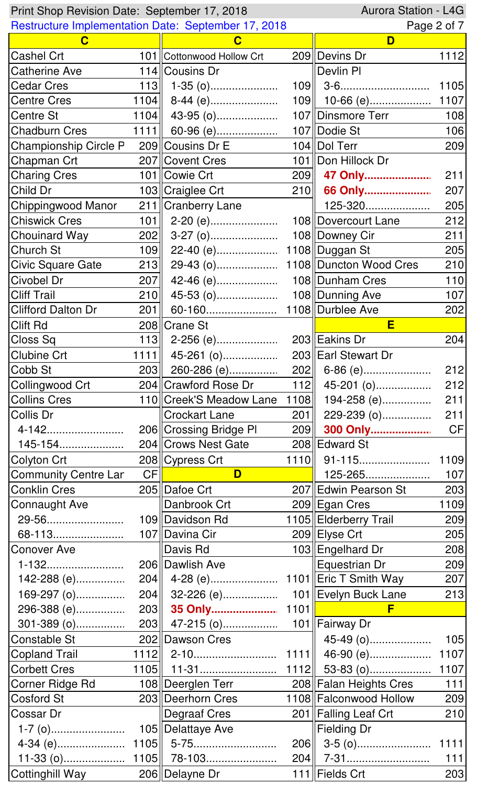| Aurora Station - L4G<br>Print Shop Revision Date: September 17, 2018 |      |                                                            |      |                          |             |
|----------------------------------------------------------------------|------|------------------------------------------------------------|------|--------------------------|-------------|
|                                                                      |      | <b>Restructure Implementation Date: September 17, 2018</b> |      |                          | Page 2 of 7 |
| $\mathbf C$                                                          |      | $\mathbf C$                                                |      | D                        |             |
| Cashel Crt                                                           |      | 101 Cottonwood Hollow Crt                                  |      | 209 Devins Dr            | 1112        |
| <b>Catherine Ave</b>                                                 |      | 114 Cousins Dr                                             |      | Devlin PI                |             |
| <b>Cedar Cres</b>                                                    | 113  | $1-35$ (0)                                                 |      |                          | 1105        |
| <b>Centre Cres</b>                                                   |      | $1104$ 8-44 (e)                                            |      | $109$    10-66 (e)       | 1107        |
| Centre St                                                            |      | $1104$ 43-95 (o)                                           |      | 107   Dinsmore Terr      | 108         |
| <b>Chadburn Cres</b>                                                 |      | 1111 60-96 (e)                                             |      | 107 Dodie St             | 106         |
| <b>Championship Circle P</b>                                         |      | 209 Cousins Dr E                                           |      | 104 Dol Terr             | 209         |
| Chapman Crt                                                          |      | 207 Covent Cres                                            |      | 101 Don Hillock Dr       |             |
| <b>Charing Cres</b>                                                  |      | 101 Cowie Crt                                              |      | 209 47 Only              | 211         |
| Child Dr                                                             |      | 103 Craiglee Crt                                           | 210  | 66 Only                  | 207         |
| Chippingwood Manor                                                   |      | 211   Cranberry Lane                                       |      | 125-320                  | 205         |
| <b>Chiswick Cres</b>                                                 | 101  | 2-20 (e)                                                   |      | 108 Dovercourt Lane      | 212         |
| Chouinard Way                                                        | 202  |                                                            |      | 108 Downey Cir           | 211         |
| <b>Church St</b>                                                     | 109  | 22-40 (e)                                                  |      | 1108 Duggan St           | 205         |
| <b>Civic Square Gate</b>                                             | 213  | 29-43 (o)                                                  |      | 1108   Duncton Wood Cres | 210         |
| Civobel Dr                                                           | 207  | $42-46$ (e)                                                |      | 108 Dunham Cres          | 110         |
| <b>Cliff Trail</b>                                                   | 210  | $45-53$ (0)                                                |      | 108   Dunning Ave        | 107         |
| <b>Clifford Dalton Dr</b>                                            | 201  | 60-160                                                     |      | 1108 Durblee Ave         | 202         |
| <b>Clift Rd</b>                                                      |      | 208 Crane St                                               |      | E                        |             |
| Closs Sq                                                             |      | $113$   2-256 (e)                                          |      | 203 Eakins Dr            | 204         |
| <b>Clubine Crt</b>                                                   |      | $\overline{1111}$ 45-261 (o)                               |      | 203 Earl Stewart Dr      |             |
| Cobb St                                                              |      |                                                            |      |                          | 212         |
| Collingwood Crt                                                      |      | 204 Crawford Rose Dr 112 45-201 (o)                        |      |                          | 212         |
| <b>Collins Cres</b>                                                  |      | 110  Creek'S Meadow Lane                                   | 1108 | 194-258 (e)              | 211         |
| Collis Dr                                                            |      | <b>Crockart Lane</b>                                       | 201  | 229-239 (0)              | 211         |
| 4-142                                                                |      | 206 Crossing Bridge PI                                     |      | 209 300 Only             | CF          |
| 145-154                                                              |      | 204 Crows Nest Gate                                        |      | 208 Edward St            |             |
| Colyton Crt                                                          |      | 208 Cypress Crt                                            |      | 1110 91-115              | 1109        |
| <b>Community Centre Lar</b>                                          | CFI  | D                                                          |      | 125-265                  | 107         |
| <b>Conklin Cres</b>                                                  |      | 205 Dafoe Crt                                              |      | 207 Edwin Pearson St     | 203         |
| Connaught Ave                                                        |      | Danbrook Crt                                               |      | 209 Egan Cres            | 1109        |
| 29-56                                                                |      | 109 Davidson Rd                                            |      | 1105   Elderberry Trail  | 209         |
| 68-113                                                               |      | 107 Davina Cir                                             |      | 209 Elyse Crt            | 205         |
| <b>Conover Ave</b>                                                   |      | Davis Rd                                                   |      | 103 Engelhard Dr         | 208         |
| 1-132                                                                |      | 206 Dawlish Ave                                            |      | Equestrian Dr            | 209         |
| 142-288 (e)                                                          |      |                                                            |      |                          | 207         |
| 169-297 (o)                                                          |      | 204 32-226 (e)                                             |      | 101 Evelyn Buck Lane     | 213         |
| 296-388 (e)                                                          |      | 203 35 Only                                                | 1101 | F                        |             |
| $301 - 389$ (0)                                                      |      | 203 47-215 (0)                                             |      | 101   Fairway Dr         |             |
| Constable St                                                         |      | 202 Dawson Cres                                            |      | 45-49 (0)                | 105         |
| <b>Copland Trail</b>                                                 |      |                                                            |      | 46-90 (e)                | 1107        |
| <b>Corbett Cres</b>                                                  |      |                                                            |      | $1112$ 53-83 (o)         | 1107        |
| Corner Ridge Rd                                                      |      | 108 Deerglen Terr                                          |      | 208 Falan Heights Cres   | $111$       |
| Cosford St                                                           |      | 203 Deerhorn Cres                                          |      | 1108 Falconwood Hollow   | 209         |
| Cossar Dr                                                            |      | Degraaf Cres                                               |      | 201   Falling Leaf Crt   | 210         |
|                                                                      |      | 105 Delattaye Ave                                          |      | <b>Fielding Dr</b>       |             |
|                                                                      |      |                                                            | 206  | $3-5$ (0)                | 1111        |
| $11-33$ (0)                                                          | 1105 | 78-103                                                     | 204  | 7-31                     | 111         |
| Cottinghill Way                                                      |      | 206 Delayne Dr                                             |      | 111 Fields Crt           | 203         |
|                                                                      |      |                                                            |      |                          |             |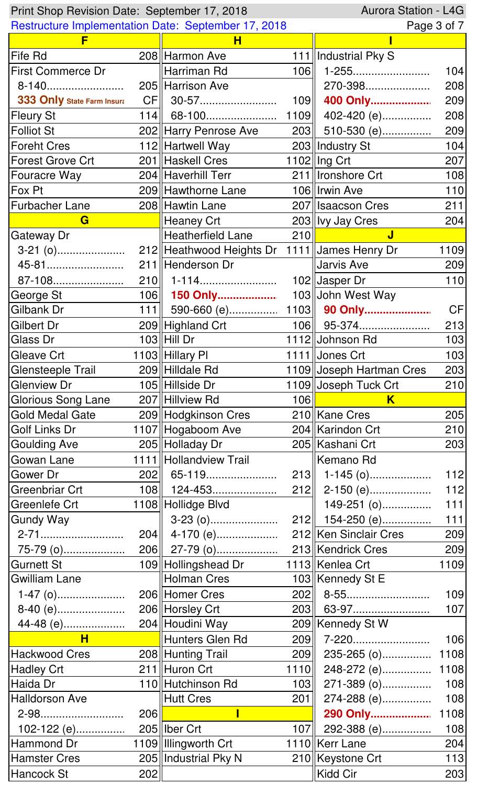| Print Shop Revision Date: September 17, 2018 |     |                                                            |             | Aurora Station - L4G          |             |
|----------------------------------------------|-----|------------------------------------------------------------|-------------|-------------------------------|-------------|
|                                              |     | <b>Restructure Implementation Date: September 17, 2018</b> |             |                               | Page 3 of 7 |
| E                                            |     | н                                                          |             |                               |             |
| Fife Rd                                      |     | 208 Harmon Ave                                             |             | 111   Industrial Pky S        |             |
| <b>First Commerce Dr</b>                     |     | Harriman Rd                                                | 106         | 1-255                         | 104         |
| 8-140                                        |     | 205 Harrison Ave                                           |             | 270-398                       | 208         |
| 333 Only State Farm Insura                   |     |                                                            | 109         | 400 Only                      | 209         |
| <b>Fleury St</b>                             |     | 114   68-100                                               | 1109        | 402-420 (e)                   | 208         |
| <b>Folliot St</b>                            |     | 202 Harry Penrose Ave                                      | 203         | 510-530 (e)                   | 209         |
| <b>Foreht Cres</b>                           |     | 112 Hartwell Way                                           |             | 203   Industry St             | 104         |
| <b>Forest Grove Crt</b>                      |     | 201 Haskell Cres                                           |             | 1102   Ing Crt                | 207         |
| <b>Fouracre Way</b>                          |     | 204 Haverhill Terr                                         |             | 211   Ironshore Crt           | 108         |
| Fox Pt                                       |     | 209 Hawthorne Lane                                         |             | 106   Irwin Ave               | 110         |
| <b>Furbacher Lane</b>                        |     | 208 Hawtin Lane                                            |             | 207   Isaacson Cres           | 211         |
| G                                            |     | <b>Heaney Crt</b>                                          |             | 203 Vy Jay Cres               | 204         |
| Gateway Dr                                   |     | Heatherfield Lane                                          | 210         | $\mathbf{J}$                  |             |
| $3-21$ (0)                                   |     | 212 Heathwood Heights Dr                                   |             | 1111 James Henry Dr           | 1109        |
| 45-81                                        |     | 211 Henderson Dr                                           |             | Jarvis Ave                    | 209         |
| 87-108                                       |     | $210$    1-114                                             |             | $102$ Uasper Dr               | 110         |
| George St                                    |     | 106 150 Only                                               |             | 103 John West Way             |             |
| Gilbank Dr                                   |     | 111   590-660 (e) 1103   90 Only                           |             |                               | <b>CF</b>   |
| Gilbert Dr                                   |     | 209 Highland Crt                                           |             | $106$   95-374                | 213         |
| Glass Dr                                     |     | $103$ Hill Dr                                              |             | 1112 Johnson Rd               | 103         |
| Gleave Crt                                   |     | 1103 Hillary PI                                            |             | 1111 Jones Crt                | 103         |
| Glensteeple Trail                            |     | 209 Hilldale Rd                                            |             | 1109 Joseph Hartman Cres      | 203         |
| <b>Glenview Dr</b>                           |     | 105 Hillside Dr                                            |             | 1109 Joseph Tuck Crt          | 210         |
|                                              |     |                                                            |             |                               |             |
| Glorious Song Lane                           |     | 207 Hillview Rd                                            | 106         | K.                            |             |
| <b>Gold Medal Gate</b>                       |     |                                                            |             | 210 Kane Cres                 | 205         |
| Golf Links Dr                                |     | 209 Hodgkinson Cres<br>1107 Hogaboom Ave                   |             | 204   Karindon Crt            | 210         |
| <b>Goulding Ave</b>                          |     | 205 Holladay Dr                                            |             | 205   Kashani Crt             | 203         |
| Gowan Lane                                   |     | 1111 Hollandview Trail                                     |             | Kemano Rd                     |             |
| Gower Dr                                     |     | 202   65-119                                               |             |                               | $112$       |
| Greenbriar Crt                               |     | 108    124-453                                             |             | $213$   1-145 (0)             | $112$       |
| Greenlefe Crt                                |     |                                                            |             | $212$   2-150 (e)             | $111$       |
| <b>Gundy Way</b>                             |     | 1108 Hollidge Blvd                                         |             | 149-251 (0)                   | $111$       |
|                                              |     |                                                            |             | $212$   154-250 (e)           | 209         |
| 2-71                                         |     | $204$ 4-170 (e)                                            |             | 212 Ken Sinclair Cres         | 209         |
| 75-79 (0)<br>Gurnett St                      |     |                                                            |             | 1113 Kenlea Crt               | 1109        |
| <b>Gwilliam Lane</b>                         |     | 109 Hollingshead Dr<br>Holman Cres                         |             | 103   Kennedy St E            |             |
|                                              |     |                                                            |             |                               | 109         |
| $1-47$ (0)                                   |     | 206 Homer Cres                                             | 203         | 63-97                         | 107         |
| 8-40 (e)                                     |     | 206 Horsley Crt                                            |             |                               |             |
| $\overline{\mathsf{H}}$                      |     |                                                            |             | 209   Kennedy St W            | 106         |
|                                              |     | Hunters Glen Rd                                            | 209         | 7-220                         | 1108        |
| <b>Hackwood Cres</b><br><b>Hadley Crt</b>    |     | 208 Hunting Trail<br>211 Huron Crt                         | 209<br>1110 | 235-265 (o)<br>248-272 (e)    | 1108        |
| Haida Dr                                     |     | 110 Hutchinson Rd                                          |             | 271-389 (0)                   | 108         |
| <b>Halldorson Ave</b>                        |     | Hutt Cres                                                  | 103<br>201  |                               | 108         |
| 2-98                                         | 206 |                                                            |             | 274-288 (e)<br>290 Only       |             |
|                                              |     | 205   Iber Crt                                             | 107         |                               | 1108        |
| $102-122$ (e)<br>Hammond Dr                  |     | 1109 Illingworth Crt                                       |             | 292-388 (e)<br>1110 Kerr Lane | 108<br>204  |
| <b>Hamster Cres</b>                          |     | 205   Industrial Pky N                                     |             | 210   Keystone Crt            | 113         |
| Hancock St                                   | 202 |                                                            |             | Kidd Cir                      | 203         |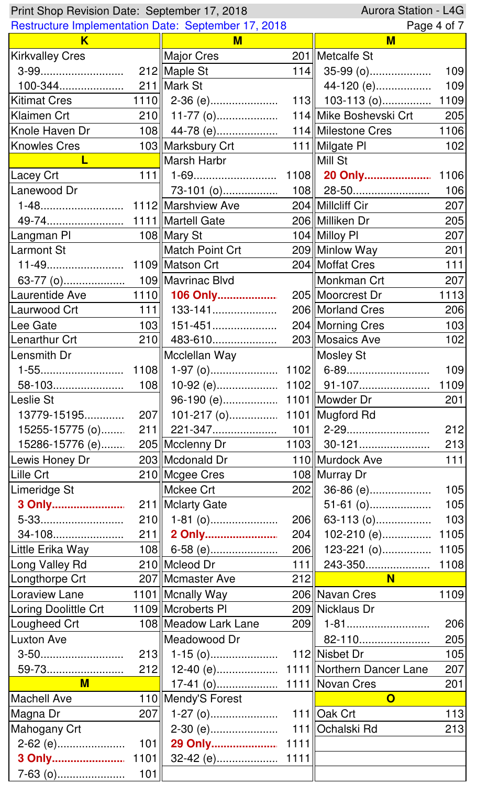| Aurora Station - L4G<br>Print Shop Revision Date: September 17, 2018 |      |                                                            |      |                         |             |
|----------------------------------------------------------------------|------|------------------------------------------------------------|------|-------------------------|-------------|
|                                                                      |      | <b>Restructure Implementation Date: September 17, 2018</b> |      |                         | Page 4 of 7 |
| K                                                                    |      | M                                                          |      | M                       |             |
| <b>Kirkvalley Cres</b>                                               |      | Major Cres                                                 |      | 201   Metcalfe St       |             |
|                                                                      |      |                                                            | 114  | $35-99$ (o)             | 109         |
|                                                                      |      |                                                            |      | 44-120 (e)              | 109         |
| <b>Kitimat Cres</b>                                                  |      | $1110$   2-36 (e)                                          |      | 113    103-113 (0)      | 1109        |
| Klaimen Crt                                                          |      | $210$   11-77 (o)                                          |      | 114 Mike Boshevski Crt  | 205         |
| Knole Haven Dr                                                       |      | 108 $\parallel$ 44-78 (e)                                  |      | 114 Milestone Cres      | 1106        |
| <b>Knowles Cres</b>                                                  |      | 103   Marksbury Crt                                        |      | 111   Milgate PI        | 102         |
|                                                                      |      | Marsh Harbr                                                |      | Mill St                 |             |
| <b>Lacey Crt</b>                                                     | 111  |                                                            |      |                         | 1106        |
| Lanewood Dr                                                          |      | $73-101$ (0)                                               |      | $108$    28-50          | 106         |
| 1-48                                                                 |      | 1112 Marshview Ave                                         |      | 204   Millcliff Cir     | 207         |
| 49-74                                                                |      | 1111   Martell Gate                                        |      | 206 Milliken Dr         | 205         |
| Langman Pl                                                           |      | 108 Mary St                                                |      | 104 Milloy PI           | 207         |
| Larmont St                                                           |      | Match Point Crt                                            |      | 209 Minlow Way          | 201         |
| 11-49                                                                |      | 1109 Matson Crt                                            |      | 204   Moffat Cres       | $111$       |
|                                                                      |      |                                                            |      | Monkman Crt             | 207         |
| Laurentide Ave                                                       |      | 1110 106 Only                                              |      | 205   Moorcrest Dr      | 1113        |
| Laurwood Crt                                                         | 111  | 133-141                                                    |      | 206   Morland Cres      | 206         |
| Lee Gate                                                             | 103  | 151-451                                                    |      | 204   Morning Cres      | 103         |
| Lenarthur Crt                                                        | 210  | 483-610                                                    |      | 203 Mosaics Ave         | 102         |
| Lensmith Dr                                                          |      | Mcclellan Way                                              |      | Mosley St               |             |
| 1-55                                                                 |      |                                                            |      |                         | 109         |
| 58-103                                                               |      |                                                            |      |                         | 1109        |
| Leslie St                                                            |      |                                                            |      |                         | 201         |
| 13779-15195                                                          |      |                                                            |      |                         |             |
| 15255-15775 (o)                                                      |      |                                                            |      |                         | 212         |
| 15286-15776 (e)                                                      |      | 205   Mcclenny Dr                                          |      | $1103$ 30-121           | 213         |
| Lewis Honey Dr                                                       |      | 203 Mcdonald Dr                                            |      | 110 Murdock Ave         | $111$       |
| Lille Crt                                                            |      | 210 Mcgee Cres                                             |      | 108 Murray Dr           |             |
| Limeridge St                                                         |      | Mckee Crt                                                  | 202  | 36-86 (e)               | 105         |
| 3 Only                                                               |      | 211   Mclarty Gate                                         |      | $51-61$ (0)             | 105         |
| 5-33                                                                 |      | 210   1-81 (0)                                             | 206  | 63-113 (o)              | 103         |
| 34-108                                                               |      | 211 2 Only                                                 | 204  | $102-210$ (e)           | 1105        |
| Little Erika Way                                                     |      | $108$ 6-58 (e)                                             | 206  | 123-221 (o) 1105        |             |
| Long Valley Rd                                                       |      | 210 Mcleod Dr                                              | 111  | 243-350                 | 1108        |
| Longthorpe Crt                                                       |      | 207   Mcmaster Ave                                         | 212  | <b>N</b>                |             |
| <b>Loraview Lane</b>                                                 |      | 1101   Mcnally Way                                         |      | 206 Navan Cres          | 1109        |
|                                                                      |      | 1109 Mcroberts PI                                          |      | 209 Nicklaus Dr         |             |
| Loring Doolittle Crt                                                 |      |                                                            | 209  |                         |             |
| Lougheed Crt                                                         |      | 108   Meadow Lark Lane                                     |      |                         | 206         |
| <b>Luxton Ave</b>                                                    |      | Meadowood Dr                                               |      | 82-110                  | 205         |
| 3-50                                                                 |      |                                                            |      | 112 Nisbet Dr           | 105         |
| 59-73                                                                |      |                                                            |      |                         | 207         |
| $M$                                                                  |      |                                                            |      | 1111 Novan Cres         | 201         |
| <b>Machell Ave</b>                                                   |      | 110   Mendy'S Forest                                       |      | $\mathbf O$             |             |
| Magna Dr                                                             | 207  |                                                            |      | 111 $\parallel$ Oak Crt | 113         |
| Mahogany Crt                                                         |      | 2-30 (e)                                                   |      | 111 Ochalski Rd         | 213         |
| 2-62 (e)                                                             | 101  | 29 Only                                                    | 1111 |                         |             |
| 3 Only                                                               | 1101 |                                                            | 1111 |                         |             |
|                                                                      | 101  |                                                            |      |                         |             |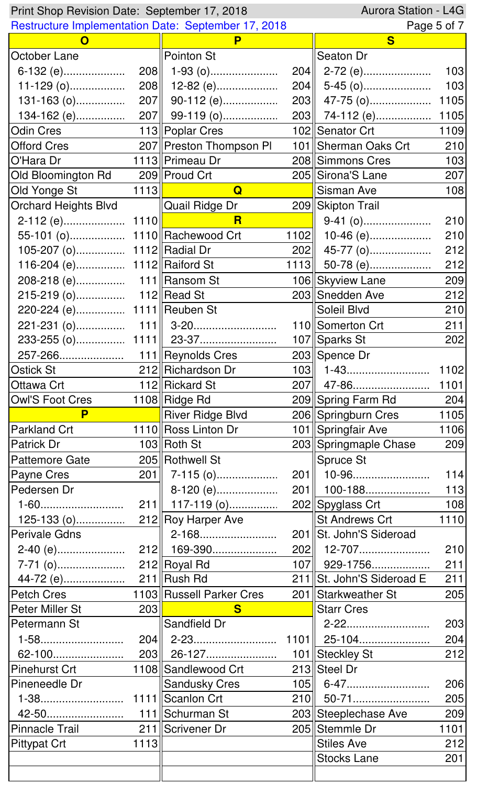|                                | Aurora Station - L4G<br>Print Shop Revision Date: September 17, 2018 |                                      |      |                           |            |  |
|--------------------------------|----------------------------------------------------------------------|--------------------------------------|------|---------------------------|------------|--|
|                                | <b>Restructure Implementation Date: September 17, 2018</b>           |                                      |      | Page 5 of 7               |            |  |
| $\mathbf{O}$                   |                                                                      | P                                    |      | S                         |            |  |
| October Lane                   |                                                                      | Pointon St                           |      | <b>Seaton Dr</b>          |            |  |
| 6-132 (e)                      |                                                                      | $208$    1-93 (0)                    |      |                           | 103        |  |
|                                |                                                                      | $208$   12-82 (e)                    |      |                           | 103        |  |
| $131 - 163$ (0)                |                                                                      | $207$ 90-112 (e)                     |      | 203    47-75 (0)          | 1105       |  |
| 134-162 (e)                    |                                                                      | 207 99-119 (o)                       |      | 203 74-112 (e)            | 1105       |  |
| <b>Odin Cres</b>               |                                                                      | 113  Poplar Cres                     |      | 102 Senator Crt           | 1109       |  |
| <b>Offord Cres</b>             |                                                                      | 207 Preston Thompson PI              |      | 101   Sherman Oaks Crt    | 210        |  |
| O'Hara Dr                      |                                                                      | 1113  Primeau Dr                     |      | 208 Simmons Cres          | 103        |  |
| Old Bloomington Rd             |                                                                      | 209 Proud Crt                        |      | 205 Sirona'S Lane         | 207        |  |
| Old Yonge St                   | 1113                                                                 | $\mathbf Q$                          |      | Sisman Ave                | 108        |  |
| <b>Orchard Heights Blvd</b>    |                                                                      | <b>Quail Ridge Dr</b>                |      | 209 Skipton Trail         |            |  |
|                                |                                                                      | $\overline{\mathsf{R}}$              |      | $9-41$ (o)                | 210        |  |
| 55-101 (o) 1110  Rachewood Crt |                                                                      |                                      | 1102 | $10-46$ (e)               | 210        |  |
| 105-207 (o) 1112 Radial Dr     |                                                                      |                                      | 202  | 45-77 (0)                 | 212        |  |
| 116-204 (e) 1112  Raiford St   |                                                                      |                                      | 1113 | 50-78 (e)                 | 212        |  |
|                                |                                                                      |                                      |      | 106 Skyview Lane          | 209        |  |
|                                |                                                                      |                                      |      | 203  Snedden Ave          | 212        |  |
| 220-224 (e) 1111    Reuben St  |                                                                      |                                      |      | Soleil Blvd               | 210        |  |
|                                |                                                                      |                                      |      | 110 Somerton Crt          | 211        |  |
|                                |                                                                      |                                      |      | 107 Sparks St             | 202        |  |
|                                |                                                                      |                                      |      | 203 Spence Dr             |            |  |
| <b>Ostick St</b>               |                                                                      | 212 Richardson Dr                    | 103  | 1-43                      | 1102       |  |
| Ottawa Crt                     |                                                                      | 112 Rickard St                       |      | 207   47-86               | 1101       |  |
| <b>Owl'S Foot Cres</b>         |                                                                      | 1108 Ridge Rd                        |      | 209 Spring Farm Rd        | 204        |  |
| P                              |                                                                      | River Ridge Blvd                     |      | 206 Springburn Cres       | 1105       |  |
| Parkland Crt                   |                                                                      | 1110 Ross Linton Dr                  |      | 101 Springfair Ave        | 1106       |  |
| Patrick Dr                     |                                                                      | $103$ Roth St                        |      | 203 Springmaple Chase     | 209        |  |
| <b>Pattemore Gate</b>          |                                                                      | 205 Rothwell St                      |      | Spruce St                 |            |  |
| Payne Cres                     |                                                                      | 201  7-115 (o)                       |      | 201  10-96                | 114        |  |
| Pedersen Dr                    |                                                                      | 8-120 (e)                            |      | $201$    100-188          | 113        |  |
| 1-60                           |                                                                      | $211$    117-119 (0)                 |      | 202 Spyglass Crt          | 108        |  |
| 125-133 (0)                    |                                                                      | 212 Roy Harper Ave                   |      | <b>St Andrews Crt</b>     | 1110       |  |
| Perivale Gdns                  |                                                                      | 2-168                                |      | 201 St. John'S Sideroad   |            |  |
|                                |                                                                      |                                      |      | $202$   12-707            | 210        |  |
|                                |                                                                      |                                      |      | $107$   929-1756          |            |  |
|                                |                                                                      |                                      |      | 211 St. John'S Sideroad E | 211<br>211 |  |
|                                |                                                                      |                                      |      |                           |            |  |
| <b>Petch Cres</b>              | 203                                                                  | 1103 Russell Parker Cres<br>$\bf{s}$ |      | 201 Starkweather St       | 205        |  |
| Peter Miller St                |                                                                      |                                      |      | <b>Starr Cres</b>         |            |  |
| Petermann St                   |                                                                      | Sandfield Dr                         |      | 2-22                      | 203        |  |
| 1-58                           |                                                                      |                                      |      |                           | 204        |  |
| 62-100                         |                                                                      | 203 26-127                           |      | 101 Steckley St           | 212        |  |
| <b>Pinehurst Crt</b>           |                                                                      | 1108 Sandlewood Crt                  |      | 213 Steel Dr              |            |  |
| Pineneedle Dr                  |                                                                      | <b>Sandusky Cres</b>                 |      | $105$    6-47             | 206        |  |
|                                |                                                                      |                                      | 210  | 50-71                     | 205        |  |
| 42-50                          |                                                                      | 111 Schurman St                      |      | 203 Steeplechase Ave      | 209        |  |
| <b>Pinnacle Trail</b>          |                                                                      | 211 Scrivener Dr                     |      | 205 Stemmle Dr            | 1101       |  |
| <b>Pittypat Crt</b>            | 1113                                                                 |                                      |      | <b>Stiles Ave</b>         | 212        |  |
|                                |                                                                      |                                      |      | <b>Stocks Lane</b>        | 201        |  |
|                                |                                                                      |                                      |      |                           |            |  |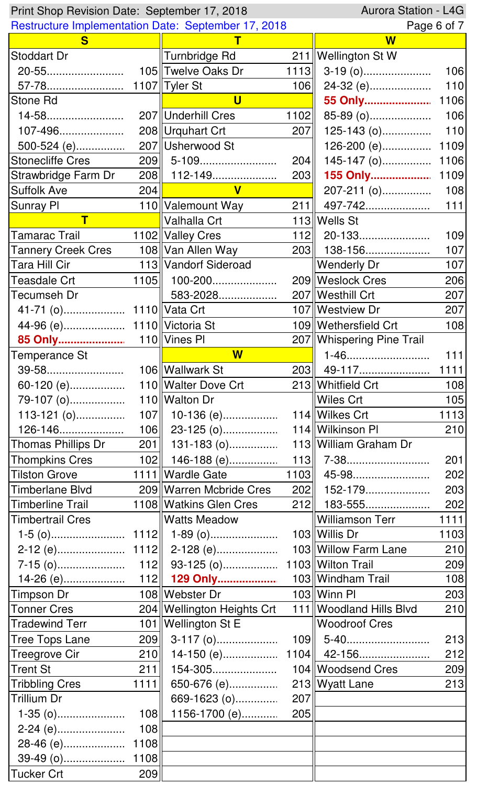|                           | Aurora Station - L4G<br>Print Shop Revision Date: September 17, 2018 |                              |      |                           |       |  |
|---------------------------|----------------------------------------------------------------------|------------------------------|------|---------------------------|-------|--|
|                           | <b>Restructure Implementation Date: September 17, 2018</b>           |                              |      | Page 6 of 7               |       |  |
| S.                        |                                                                      |                              |      | $\overline{\mathsf{W}}$   |       |  |
| Stoddart Dr               |                                                                      | Turnbridge Rd                |      | 211   Wellington St W     |       |  |
| 20-55                     |                                                                      | 105 Twelve Oaks Dr           | 1113 |                           | 106   |  |
| 57-78                     |                                                                      | 1107 Tyler St                | 106  | 24-32 (e)                 | 110   |  |
| Stone Rd                  |                                                                      | $\overline{\mathsf{u}}$      |      | 55 Only                   | 1106  |  |
| 14-58                     |                                                                      | 207 Underhill Cres           | 1102 | 85-89 (0)                 | 106   |  |
| 107-496                   |                                                                      | 208 Urquhart Crt             | 207  | $125-143$ (0)             | 110   |  |
| $500 - 524$ (e)           |                                                                      | 207 Usherwood St             |      | 126-200 (e)               | 1109  |  |
| <b>Stonecliffe Cres</b>   |                                                                      | 209 5-109                    | 204  | $145-147$ (0)             | 1106  |  |
| Strawbridge Farm Dr       |                                                                      | 208   112-149                | 203  | 155 Only                  | 1109  |  |
| <b>Suffolk Ave</b>        | 204                                                                  | $\mathbf{V}$                 |      | 207-211 (o)               | 108   |  |
| Sunray PI                 |                                                                      | 110 Valemount Way            | 211  | 497-742                   | $111$ |  |
| $\mathsf T$               |                                                                      | Valhalla Crt                 |      | 113 Wells St              |       |  |
| Tamarac Trail             |                                                                      | 1102 Valley Cres             |      | $112$   20-133            | 109   |  |
| <b>Tannery Creek Cres</b> |                                                                      | 108 Van Allen Way            |      | 203    138-156            | 107   |  |
| Tara Hill Cir             |                                                                      | 113 Vandorf Sideroad         |      | Wenderly Dr               | 107   |  |
| <b>Teasdale Crt</b>       | 1105                                                                 | 100-200                      |      | 209   Weslock Cres        | 206   |  |
| Tecumseh Dr               |                                                                      | 583-2028                     |      | 207   Westhill Crt        | 207   |  |
|                           |                                                                      |                              |      | 107   Westview Dr         | 207   |  |
|                           |                                                                      |                              |      | 109   Wethersfield Crt    | 108   |  |
| 85 Only                   |                                                                      | 110 Vines PI                 |      | 207 Whispering Pine Trail |       |  |
| Temperance St             |                                                                      | $\overline{\mathsf{W}}$      |      | 1-46                      | 111   |  |
| 39-58                     |                                                                      | 106 Wallwark St              |      |                           |       |  |
| 60-120 (e)                |                                                                      | 110 Walter Dove Crt          |      | 213 Whitfield Crt         | 108   |  |
| 79-107 (o)                |                                                                      | 110 Walton Dr                |      | Wiles Crt                 | 105   |  |
| $113-121(0)$              |                                                                      | 107    10-136 (e)            |      | 114 Wilkes Crt            | 1113  |  |
| 126-146                   |                                                                      | $106$   23-125 (o)           |      | 114   Wilkinson Pl        | 210   |  |
| Thomas Phillips Dr        |                                                                      | $201$    131-183 (o)         |      | 113 William Graham Dr     |       |  |
| <b>Thompkins Cres</b>     |                                                                      |                              |      |                           | 201   |  |
| <b>Tilston Grove</b>      |                                                                      | 1111 Wardle Gate             |      | $1103$ 45-98              | 202   |  |
| Timberlane Blvd           |                                                                      | 209 Warren Mcbride Cres      |      | 202   152-179             | 203   |  |
| Timberline Trail          |                                                                      | 1108 Watkins Glen Cres       |      | $212$   183-555           | 202   |  |
| <b>Timbertrail Cres</b>   |                                                                      | Watts Meadow                 |      | Williamson Terr           | 1111  |  |
|                           |                                                                      |                              |      | 103 Willis Dr             | 1103  |  |
|                           |                                                                      |                              |      | 103   Willow Farm Lane    | 210   |  |
|                           |                                                                      |                              |      |                           | 209   |  |
|                           |                                                                      |                              |      | 103 Windham Trail         | 108   |  |
| Timpson Dr                |                                                                      | 108 Webster Dr               |      | $103$ Winn PI             | 203   |  |
| <b>Tonner Cres</b>        |                                                                      | 204   Wellington Heights Crt |      | 111   Woodland Hills Blvd | 210   |  |
| <b>Tradewind Terr</b>     |                                                                      | 101   Wellington St E        |      | <b>Woodroof Cres</b>      |       |  |
| <b>Tree Tops Lane</b>     |                                                                      | $209$ 3-117 (o)              |      |                           | 213   |  |
| <b>Treegrove Cir</b>      | 210                                                                  |                              |      |                           | 212   |  |
| <b>Trent St</b>           | 211                                                                  | 154-305                      |      | 104   Woodsend Cres       | 209   |  |
| <b>Tribbling Cres</b>     | 1111                                                                 | 650-676 (e)                  |      | 213 Wyatt Lane            | 213   |  |
| <b>Trillium Dr</b>        |                                                                      | 669-1623 (0)                 | 207  |                           |       |  |
|                           | 108                                                                  | 1156-1700 (e)                | 205  |                           |       |  |
| 2-24 (e)                  | 108                                                                  |                              |      |                           |       |  |
| 28-46 (e)                 | 1108                                                                 |                              |      |                           |       |  |
| 39-49 (0)                 | 1108                                                                 |                              |      |                           |       |  |
| <b>Tucker Crt</b>         | 209                                                                  |                              |      |                           |       |  |
|                           |                                                                      |                              |      |                           |       |  |